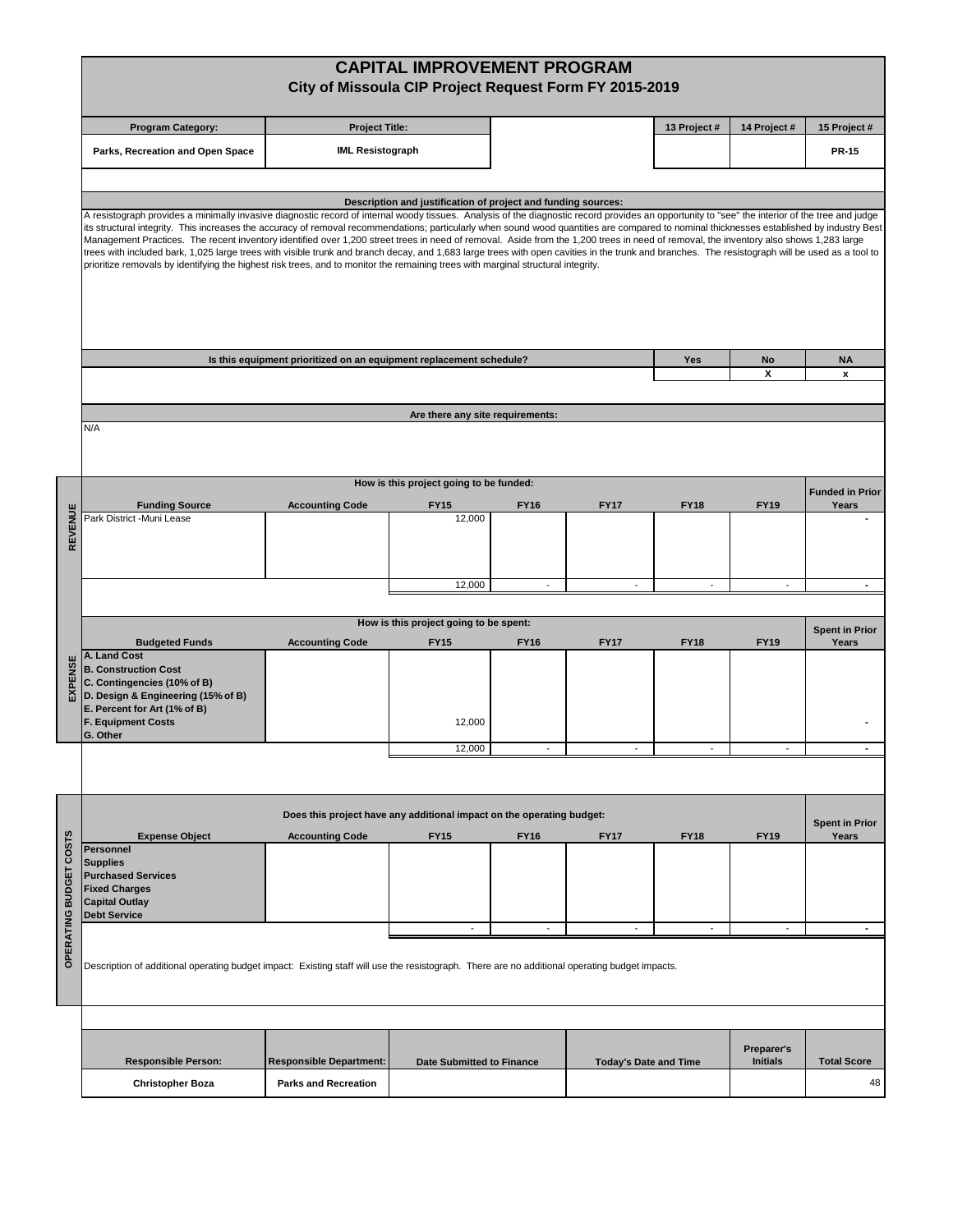|                        | <b>CAPITAL IMPROVEMENT PROGRAM</b><br>City of Missoula CIP Project Request Form FY 2015-2019                                                                                                                                                                                                                                                                                                                                                                                                                                                                                                                                                                                                                                |                                |                                         |                          |                              |              |                               |                        |  |  |  |  |  |  |
|------------------------|-----------------------------------------------------------------------------------------------------------------------------------------------------------------------------------------------------------------------------------------------------------------------------------------------------------------------------------------------------------------------------------------------------------------------------------------------------------------------------------------------------------------------------------------------------------------------------------------------------------------------------------------------------------------------------------------------------------------------------|--------------------------------|-----------------------------------------|--------------------------|------------------------------|--------------|-------------------------------|------------------------|--|--|--|--|--|--|
|                        | <b>Program Category:</b>                                                                                                                                                                                                                                                                                                                                                                                                                                                                                                                                                                                                                                                                                                    | <b>Project Title:</b>          |                                         |                          |                              | 13 Project # | 14 Project #                  | 15 Project #           |  |  |  |  |  |  |
|                        | Parks, Recreation and Open Space                                                                                                                                                                                                                                                                                                                                                                                                                                                                                                                                                                                                                                                                                            | <b>IML Resistograph</b>        |                                         |                          |                              |              |                               | <b>PR-15</b>           |  |  |  |  |  |  |
|                        |                                                                                                                                                                                                                                                                                                                                                                                                                                                                                                                                                                                                                                                                                                                             |                                |                                         |                          |                              |              |                               |                        |  |  |  |  |  |  |
|                        | Description and justification of project and funding sources:<br>A resistograph provides a minimally invasive diagnostic record of internal woody tissues. Analysis of the diagnostic record provides an opportunity to "see" the interior of the tree and judge                                                                                                                                                                                                                                                                                                                                                                                                                                                            |                                |                                         |                          |                              |              |                               |                        |  |  |  |  |  |  |
|                        | its structural integrity. This increases the accuracy of removal recommendations; particularly when sound wood quantities are compared to nominal thicknesses established by industry Best<br>Management Practices. The recent inventory identified over 1,200 street trees in need of removal. Aside from the 1,200 trees in need of removal, the inventory also shows 1,283 large<br>trees with included bark, 1,025 large trees with visible trunk and branch decay, and 1,683 large trees with open cavities in the trunk and branches. The resistograph will be used as a tool to<br>prioritize removals by identifying the highest risk trees, and to monitor the remaining trees with marginal structural integrity. |                                |                                         |                          |                              |              |                               |                        |  |  |  |  |  |  |
|                        | Is this equipment prioritized on an equipment replacement schedule?                                                                                                                                                                                                                                                                                                                                                                                                                                                                                                                                                                                                                                                         | No                             | <b>NA</b>                               |                          |                              |              |                               |                        |  |  |  |  |  |  |
|                        |                                                                                                                                                                                                                                                                                                                                                                                                                                                                                                                                                                                                                                                                                                                             |                                |                                         |                          |                              |              | X                             | $\pmb{\mathsf{x}}$     |  |  |  |  |  |  |
|                        |                                                                                                                                                                                                                                                                                                                                                                                                                                                                                                                                                                                                                                                                                                                             |                                | Are there any site requirements:        |                          |                              |              |                               |                        |  |  |  |  |  |  |
|                        | N/A                                                                                                                                                                                                                                                                                                                                                                                                                                                                                                                                                                                                                                                                                                                         |                                |                                         |                          |                              |              |                               |                        |  |  |  |  |  |  |
|                        |                                                                                                                                                                                                                                                                                                                                                                                                                                                                                                                                                                                                                                                                                                                             |                                | How is this project going to be funded: |                          |                              |              |                               | <b>Funded in Prior</b> |  |  |  |  |  |  |
|                        | <b>Funding Source</b><br>Park District -Muni Lease                                                                                                                                                                                                                                                                                                                                                                                                                                                                                                                                                                                                                                                                          | <b>Accounting Code</b>         | <b>FY15</b><br>12,000                   | <b>FY16</b>              | <b>FY17</b>                  | <b>FY18</b>  | <b>FY19</b>                   | Years                  |  |  |  |  |  |  |
| REVENUE                |                                                                                                                                                                                                                                                                                                                                                                                                                                                                                                                                                                                                                                                                                                                             |                                |                                         |                          |                              |              |                               |                        |  |  |  |  |  |  |
|                        |                                                                                                                                                                                                                                                                                                                                                                                                                                                                                                                                                                                                                                                                                                                             |                                | 12,000                                  | $\overline{\phantom{a}}$ | ÷                            |              | $\overline{a}$                |                        |  |  |  |  |  |  |
|                        |                                                                                                                                                                                                                                                                                                                                                                                                                                                                                                                                                                                                                                                                                                                             |                                | How is this project going to be spent:  |                          |                              |              |                               |                        |  |  |  |  |  |  |
|                        |                                                                                                                                                                                                                                                                                                                                                                                                                                                                                                                                                                                                                                                                                                                             |                                |                                         | <b>Spent in Prior</b>    |                              |              |                               |                        |  |  |  |  |  |  |
| EXPENSE                | <b>Budgeted Funds</b><br>A. Land Cost<br><b>B. Construction Cost</b><br>C. Contingencies (10% of B)<br>D. Design & Engineering (15% of B)<br>E. Percent for Art (1% of B)<br><b>F. Equipment Costs</b><br>G. Other                                                                                                                                                                                                                                                                                                                                                                                                                                                                                                          | <b>Accounting Code</b>         | <b>FY15</b><br>12,000                   | <b>FY16</b>              | <b>FY17</b>                  | <b>FY18</b>  | <b>FY19</b>                   | Years                  |  |  |  |  |  |  |
|                        |                                                                                                                                                                                                                                                                                                                                                                                                                                                                                                                                                                                                                                                                                                                             |                                | 12,000                                  |                          |                              |              |                               |                        |  |  |  |  |  |  |
|                        |                                                                                                                                                                                                                                                                                                                                                                                                                                                                                                                                                                                                                                                                                                                             |                                |                                         |                          |                              |              |                               |                        |  |  |  |  |  |  |
|                        | Does this project have any additional impact on the operating budget:                                                                                                                                                                                                                                                                                                                                                                                                                                                                                                                                                                                                                                                       |                                |                                         |                          |                              |              |                               |                        |  |  |  |  |  |  |
|                        | <b>Expense Object</b><br>Personnel                                                                                                                                                                                                                                                                                                                                                                                                                                                                                                                                                                                                                                                                                          | <b>Accounting Code</b>         | <b>FY15</b>                             | <b>FY16</b>              | <b>FY17</b>                  | <b>FY18</b>  | <b>FY19</b>                   | Years                  |  |  |  |  |  |  |
| OPERATING BUDGET COSTS | <b>Supplies</b><br><b>Purchased Services</b><br><b>Fixed Charges</b><br><b>Capital Outlay</b><br><b>Debt Service</b>                                                                                                                                                                                                                                                                                                                                                                                                                                                                                                                                                                                                        |                                |                                         |                          |                              |              |                               |                        |  |  |  |  |  |  |
|                        | $\blacksquare$<br>$\mathcal{L}_{\mathcal{A}}$<br>$\overline{\phantom{a}}$<br>$\sim$<br>$\overline{a}$<br>$\mathbf{r}$<br>Description of additional operating budget impact: Existing staff will use the resistograph. There are no additional operating budget impacts.                                                                                                                                                                                                                                                                                                                                                                                                                                                     |                                |                                         |                          |                              |              |                               |                        |  |  |  |  |  |  |
|                        |                                                                                                                                                                                                                                                                                                                                                                                                                                                                                                                                                                                                                                                                                                                             |                                |                                         |                          |                              |              |                               |                        |  |  |  |  |  |  |
|                        | <b>Responsible Person:</b>                                                                                                                                                                                                                                                                                                                                                                                                                                                                                                                                                                                                                                                                                                  | <b>Responsible Department:</b> | <b>Date Submitted to Finance</b>        |                          | <b>Today's Date and Time</b> |              | Preparer's<br><b>Initials</b> | <b>Total Score</b>     |  |  |  |  |  |  |
|                        | <b>Christopher Boza</b>                                                                                                                                                                                                                                                                                                                                                                                                                                                                                                                                                                                                                                                                                                     | <b>Parks and Recreation</b>    |                                         |                          |                              |              |                               | 48                     |  |  |  |  |  |  |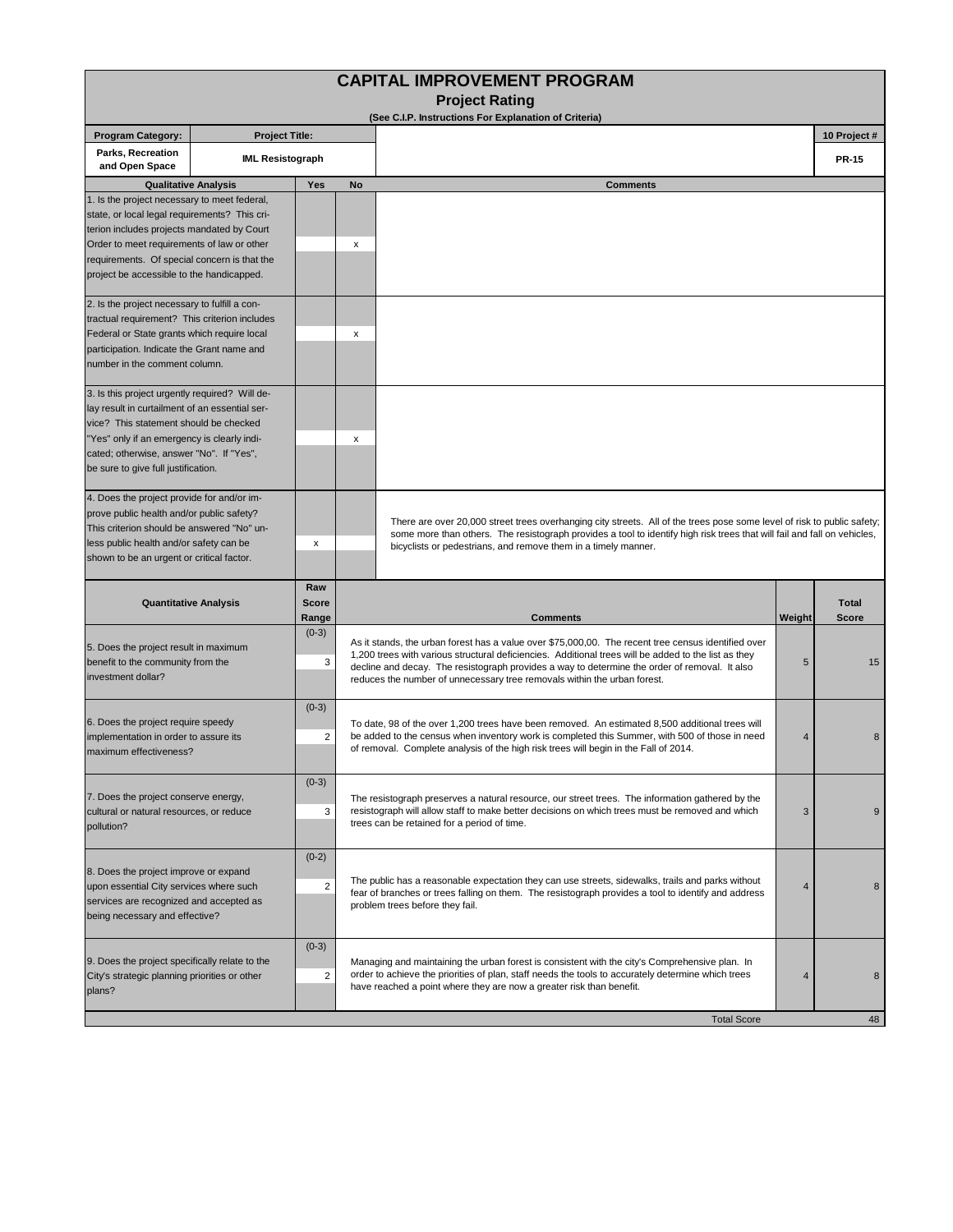| <b>CAPITAL IMPROVEMENT PROGRAM</b><br><b>Project Rating</b><br>(See C.I.P. Instructions For Explanation of Criteria)                                                                                                                                                                   |  |                           |                                                                                                                                                                                                                                                                                                                                                                                                             |                                                                                                                                                                                                                                                                                                                       |                |                              |  |  |  |  |  |  |
|----------------------------------------------------------------------------------------------------------------------------------------------------------------------------------------------------------------------------------------------------------------------------------------|--|---------------------------|-------------------------------------------------------------------------------------------------------------------------------------------------------------------------------------------------------------------------------------------------------------------------------------------------------------------------------------------------------------------------------------------------------------|-----------------------------------------------------------------------------------------------------------------------------------------------------------------------------------------------------------------------------------------------------------------------------------------------------------------------|----------------|------------------------------|--|--|--|--|--|--|
|                                                                                                                                                                                                                                                                                        |  |                           |                                                                                                                                                                                                                                                                                                                                                                                                             |                                                                                                                                                                                                                                                                                                                       |                |                              |  |  |  |  |  |  |
| Parks, Recreation<br><b>IML Resistograph</b><br>and Open Space                                                                                                                                                                                                                         |  |                           |                                                                                                                                                                                                                                                                                                                                                                                                             |                                                                                                                                                                                                                                                                                                                       |                | <b>PR-15</b>                 |  |  |  |  |  |  |
| <b>Qualitative Analysis</b>                                                                                                                                                                                                                                                            |  | Yes                       | No                                                                                                                                                                                                                                                                                                                                                                                                          | <b>Comments</b>                                                                                                                                                                                                                                                                                                       |                |                              |  |  |  |  |  |  |
| 1. Is the project necessary to meet federal,<br>state, or local legal requirements? This cri-<br>terion includes projects mandated by Court<br>Order to meet requirements of law or other<br>requirements. Of special concern is that the<br>project be accessible to the handicapped. |  | x                         |                                                                                                                                                                                                                                                                                                                                                                                                             |                                                                                                                                                                                                                                                                                                                       |                |                              |  |  |  |  |  |  |
| 2. Is the project necessary to fulfill a con-<br>tractual requirement? This criterion includes<br>Federal or State grants which require local<br>participation. Indicate the Grant name and<br>number in the comment column.                                                           |  |                           | x                                                                                                                                                                                                                                                                                                                                                                                                           |                                                                                                                                                                                                                                                                                                                       |                |                              |  |  |  |  |  |  |
| 3. Is this project urgently required? Will de-<br>lay result in curtailment of an essential ser-<br>vice? This statement should be checked<br>"Yes" only if an emergency is clearly indi-<br>cated; otherwise, answer "No". If "Yes",<br>be sure to give full justification.           |  |                           | X                                                                                                                                                                                                                                                                                                                                                                                                           |                                                                                                                                                                                                                                                                                                                       |                |                              |  |  |  |  |  |  |
| 4. Does the project provide for and/or im-<br>prove public health and/or public safety?<br>This criterion should be answered "No" un-<br>less public health and/or safety can be<br>shown to be an urgent or critical factor.                                                          |  | х                         |                                                                                                                                                                                                                                                                                                                                                                                                             | There are over 20,000 street trees overhanging city streets. All of the trees pose some level of risk to public safety;<br>some more than others. The resistograph provides a tool to identify high risk trees that will fail and fall on vehicles,<br>bicyclists or pedestrians, and remove them in a timely manner. |                |                              |  |  |  |  |  |  |
| <b>Quantitative Analysis</b>                                                                                                                                                                                                                                                           |  | Raw<br>Score<br>Range     |                                                                                                                                                                                                                                                                                                                                                                                                             | <b>Comments</b>                                                                                                                                                                                                                                                                                                       | Weight         | <b>Total</b><br><b>Score</b> |  |  |  |  |  |  |
| 5. Does the project result in maximum<br>benefit to the community from the<br>investment dollar?                                                                                                                                                                                       |  | $(0-3)$<br>3              | As it stands, the urban forest has a value over \$75,000,00. The recent tree census identified over<br>1,200 trees with various structural deficiencies. Additional trees will be added to the list as they<br>$5\phantom{.0}$<br>decline and decay. The resistograph provides a way to determine the order of removal. It also<br>reduces the number of unnecessary tree removals within the urban forest. |                                                                                                                                                                                                                                                                                                                       |                |                              |  |  |  |  |  |  |
| 6. Does the project require speedy<br>implementation in order to assure its<br>maximum effectiveness?                                                                                                                                                                                  |  | $(0-3)$<br>$\overline{2}$ | To date, 98 of the over 1,200 trees have been removed. An estimated 8,500 additional trees will<br>be added to the census when inventory work is completed this Summer, with 500 of those in need<br>$\overline{4}$<br>of removal. Complete analysis of the high risk trees will begin in the Fall of 2014.                                                                                                 |                                                                                                                                                                                                                                                                                                                       |                |                              |  |  |  |  |  |  |
| 7. Does the project conserve energy,<br>cultural or natural resources, or reduce<br>pollution?                                                                                                                                                                                         |  | $(0-3)$<br>3              | The resistograph preserves a natural resource, our street trees. The information gathered by the<br>resistograph will allow staff to make better decisions on which trees must be removed and which<br>3<br>trees can be retained for a period of time.                                                                                                                                                     |                                                                                                                                                                                                                                                                                                                       |                |                              |  |  |  |  |  |  |
| 8. Does the project improve or expand<br>upon essential City services where such<br>services are recognized and accepted as<br>being necessary and effective?                                                                                                                          |  | $(0-2)$<br>$\overline{2}$ |                                                                                                                                                                                                                                                                                                                                                                                                             | The public has a reasonable expectation they can use streets, sidewalks, trails and parks without<br>fear of branches or trees falling on them. The resistograph provides a tool to identify and address<br>problem trees before they fail.                                                                           | $\overline{4}$ | 8                            |  |  |  |  |  |  |
| 9. Does the project specifically relate to the<br>City's strategic planning priorities or other<br>plans?                                                                                                                                                                              |  | $(0-3)$<br>$\overline{2}$ |                                                                                                                                                                                                                                                                                                                                                                                                             | Managing and maintaining the urban forest is consistent with the city's Comprehensive plan. In<br>order to achieve the priorities of plan, staff needs the tools to accurately determine which trees<br>have reached a point where they are now a greater risk than benefit.                                          |                |                              |  |  |  |  |  |  |
|                                                                                                                                                                                                                                                                                        |  |                           |                                                                                                                                                                                                                                                                                                                                                                                                             | <b>Total Score</b>                                                                                                                                                                                                                                                                                                    |                | 48                           |  |  |  |  |  |  |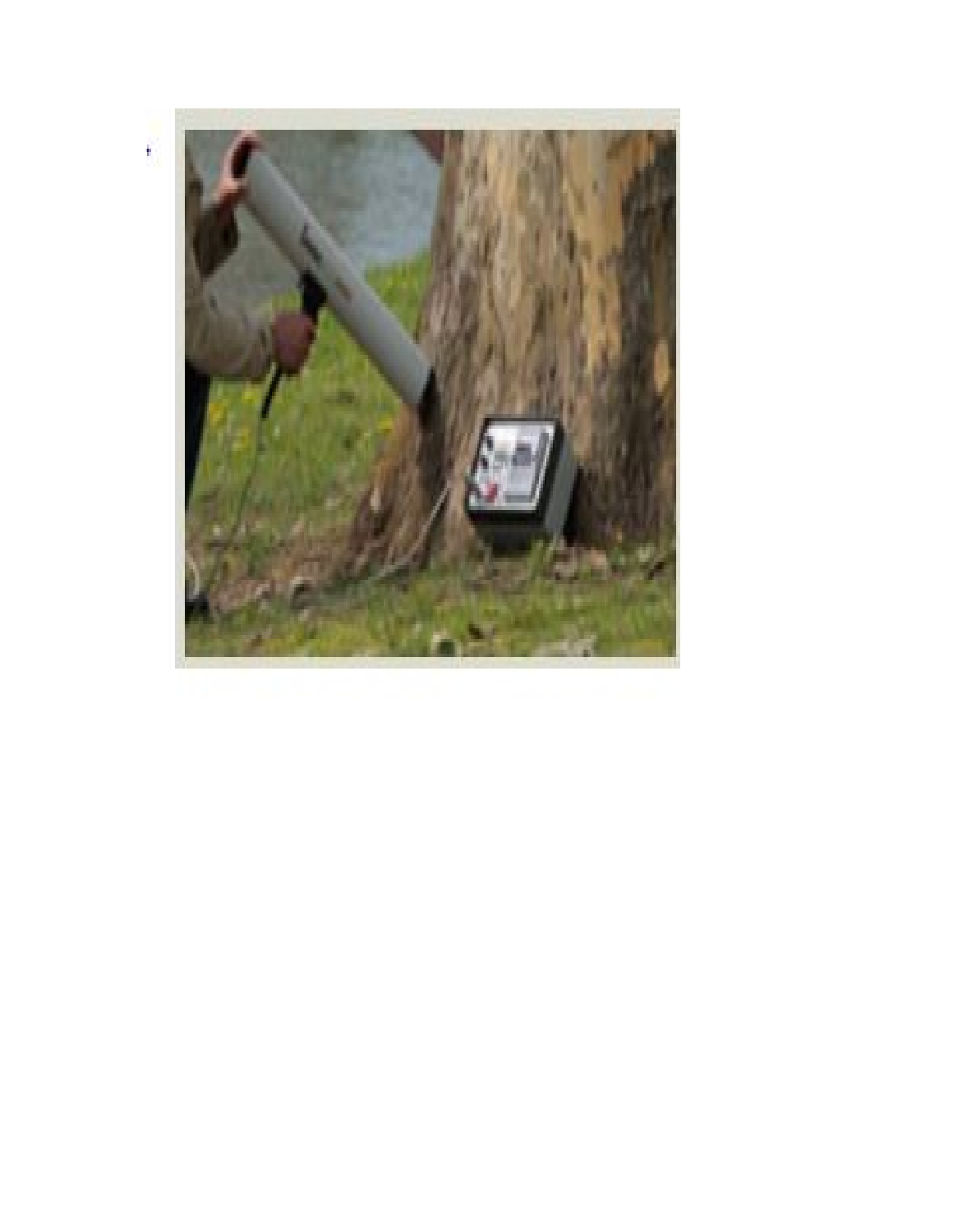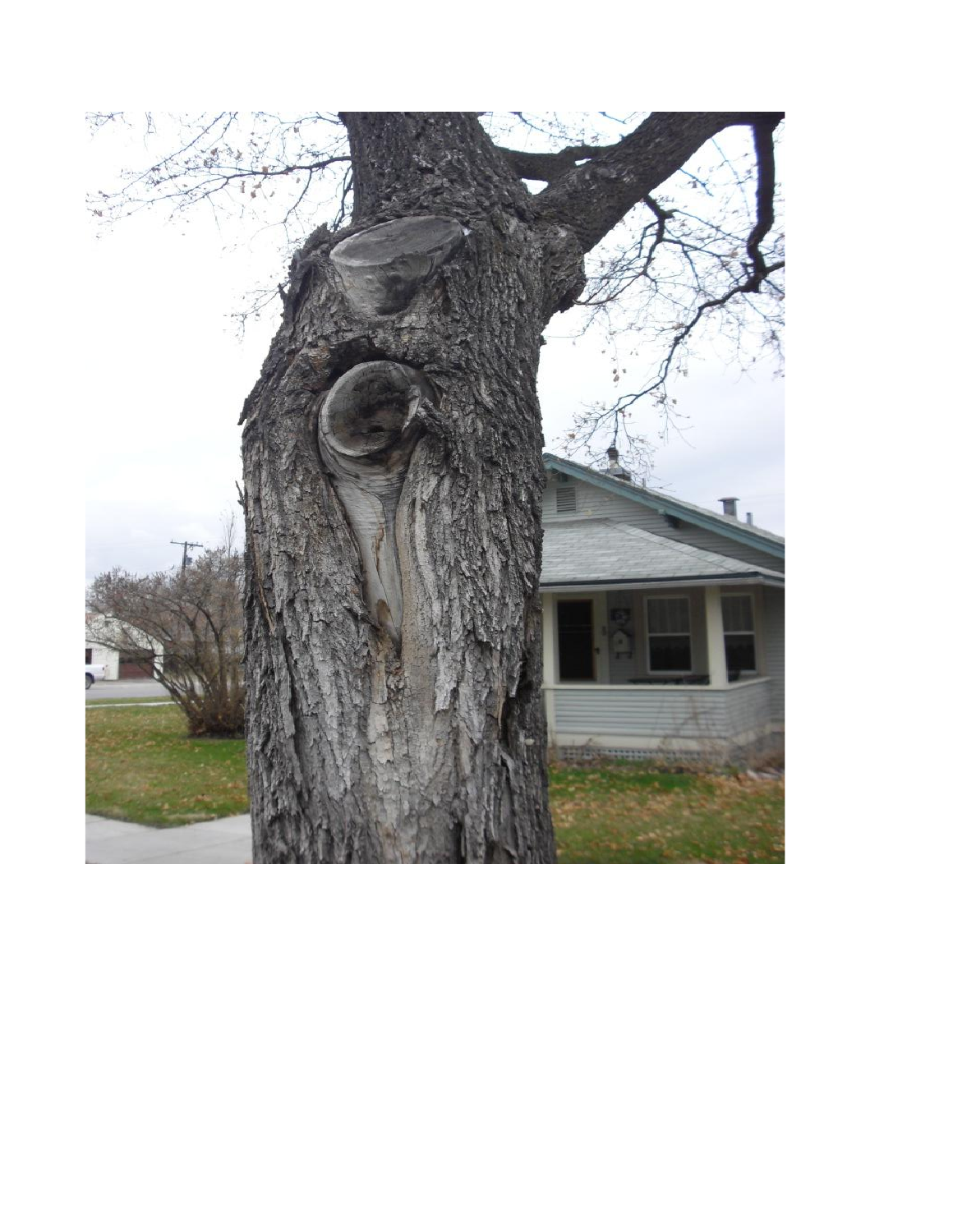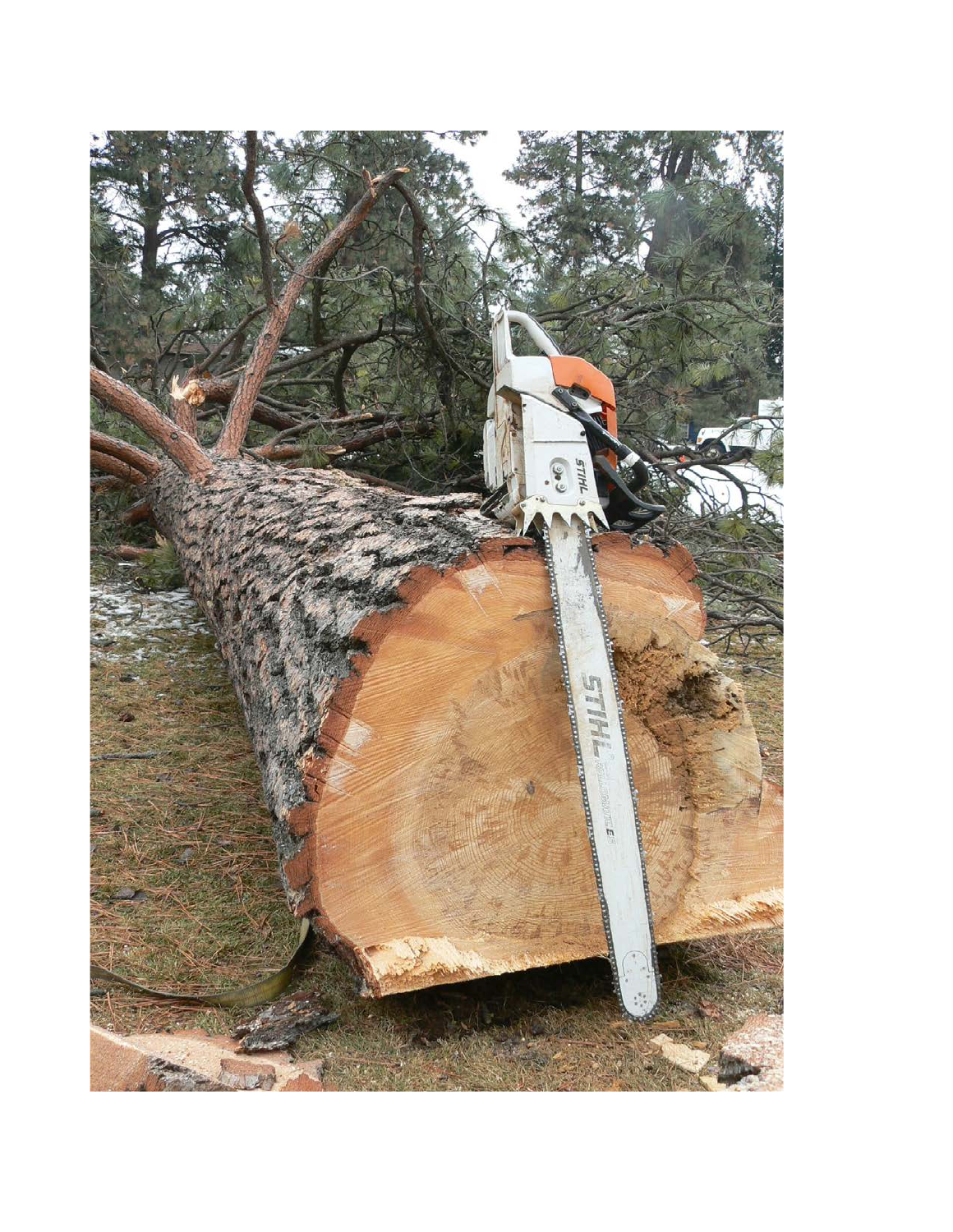